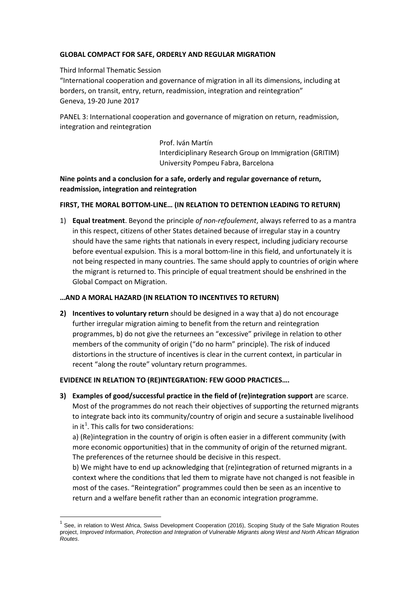# **GLOBAL COMPACT FOR SAFE, ORDERLY AND REGULAR MIGRATION**

#### Third Informal Thematic Session

"International cooperation and governance of migration in all its dimensions, including at borders, on transit, entry, return, readmission, integration and reintegration" Geneva, 19-20 June 2017

PANEL 3: International cooperation and governance of migration on return, readmission, integration and reintegration

> Prof. Iván Martín Interdiciplinary Research Group on Immigration (GRITIM) University Pompeu Fabra, Barcelona

# **Nine points and a conclusion for a safe, orderly and regular governance of return, readmission, integration and reintegration**

## **FIRST, THE MORAL BOTTOM-LINE… (IN RELATION TO DETENTION LEADING TO RETURN)**

1) **Equal treatment**. Beyond the principle *of non-refoulement*, always referred to as a mantra in this respect, citizens of other States detained because of irregular stay in a country should have the same rights that nationals in every respect, including judiciary recourse before eventual expulsion. This is a moral bottom-line in this field, and unfortunately it is not being respected in many countries. The same should apply to countries of origin where the migrant is returned to. This principle of equal treatment should be enshrined in the Global Compact on Migration.

#### **…AND A MORAL HAZARD (IN RELATION TO INCENTIVES TO RETURN)**

**2) Incentives to voluntary return** should be designed in a way that a) do not encourage further irregular migration aiming to benefit from the return and reintegration programmes, b) do not give the returnees an "excessive" privilege in relation to other members of the community of origin ("do no harm" principle). The risk of induced distortions in the structure of incentives is clear in the current context, in particular in recent "along the route" voluntary return programmes.

#### **EVIDENCE IN RELATION TO (RE)INTEGRATION: FEW GOOD PRACTICES….**

**3) Examples of good/successful practice in the field of (re)integration support** are scarce. Most of the programmes do not reach their objectives of supporting the returned migrants to integrate back into its community/country of origin and secure a sustainable livelihood in it<sup>[1](#page-0-0)</sup>. This calls for two considerations:

a) (Re)integration in the country of origin is often easier in a different community (with more economic opportunities) that in the community of origin of the returned migrant. The preferences of the returnee should be decisive in this respect.

b) We might have to end up acknowledging that (re)integration of returned migrants in a context where the conditions that led them to migrate have not changed is not feasible in most of the cases. "Reintegration" programmes could then be seen as an incentive to return and a welfare benefit rather than an economic integration programme.

<span id="page-0-0"></span> $<sup>1</sup>$  See, in relation to West Africa, Swiss Development Cooperation (2016), Scoping Study of the Safe Migration Routes</sup> project, *Improved Information, Protection and Integration of Vulnerable Migrants along West and North African Migration Routes*.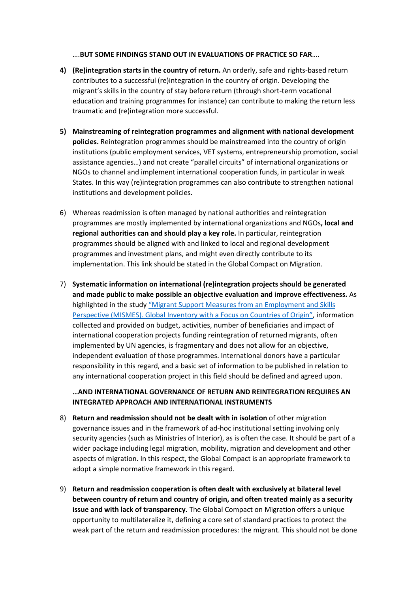….**BUT SOME FINDINGS STAND OUT IN EVALUATIONS OF PRACTICE SO FAR**….

- **4) (Re)integration starts in the country of return.** An orderly, safe and rights-based return contributes to a successful (re)integration in the country of origin. Developing the migrant's skills in the country of stay before return (through short-term vocational education and training programmes for instance) can contribute to making the return less traumatic and (re)integration more successful.
- **5) Mainstreaming of reintegration programmes and alignment with national development policies.** Reintegration programmes should be mainstreamed into the country of origin institutions (public employment services, VET systems, entrepreneurship promotion, social assistance agencies…) and not create "parallel circuits" of international organizations or NGOs to channel and implement international cooperation funds, in particular in weak States. In this way (re)integration programmes can also contribute to strengthen national institutions and development policies.
- 6) Whereas readmission is often managed by national authorities and reintegration programmes are mostly implemented by international organizations and NGOs**, local and regional authorities can and should play a key role.** In particular, reintegration programmes should be aligned with and linked to local and regional development programmes and investment plans, and might even directly contribute to its implementation. This link should be stated in the Global Compact on Migration.
- 7) **Systematic information on international (re)integration projects should be generated and made public to make possible an objective evaluation and improve effectiveness.** As highlighted in the study ["Migrant Support Measures from an Employment and Skills](http://www.etf.europa.eu/webatt.nsf/0/58594C046A08A6E3C1257EB2003A85FC/$file/MISMES%20Global%20Inventory.pdf)  [Perspective \(MISMES\). Global Inventory with a Focus on Countries of Origin",](http://www.etf.europa.eu/webatt.nsf/0/58594C046A08A6E3C1257EB2003A85FC/$file/MISMES%20Global%20Inventory.pdf) information collected and provided on budget, activities, number of beneficiaries and impact of international cooperation projects funding reintegration of returned migrants, often implemented by UN agencies, is fragmentary and does not allow for an objective, independent evaluation of those programmes. International donors have a particular responsibility in this regard, and a basic set of information to be published in relation to any international cooperation project in this field should be defined and agreed upon.

## **…AND INTERNATIONAL GOVERNANCE OF RETURN AND REINTEGRATION REQUIRES AN INTEGRATED APPROACH AND INTERNATIONAL INSTRUMENTS**

- 8) **Return and readmission should not be dealt with in isolation** of other migration governance issues and in the framework of ad-hoc institutional setting involving only security agencies (such as Ministries of Interior), as is often the case. It should be part of a wider package including legal migration, mobility, migration and development and other aspects of migration. In this respect, the Global Compact is an appropriate framework to adopt a simple normative framework in this regard.
- 9) **Return and readmission cooperation is often dealt with exclusively at bilateral level between country of return and country of origin, and often treated mainly as a security issue and with lack of transparency.** The Global Compact on Migration offers a unique opportunity to multilateralize it, defining a core set of standard practices to protect the weak part of the return and readmission procedures: the migrant. This should not be done